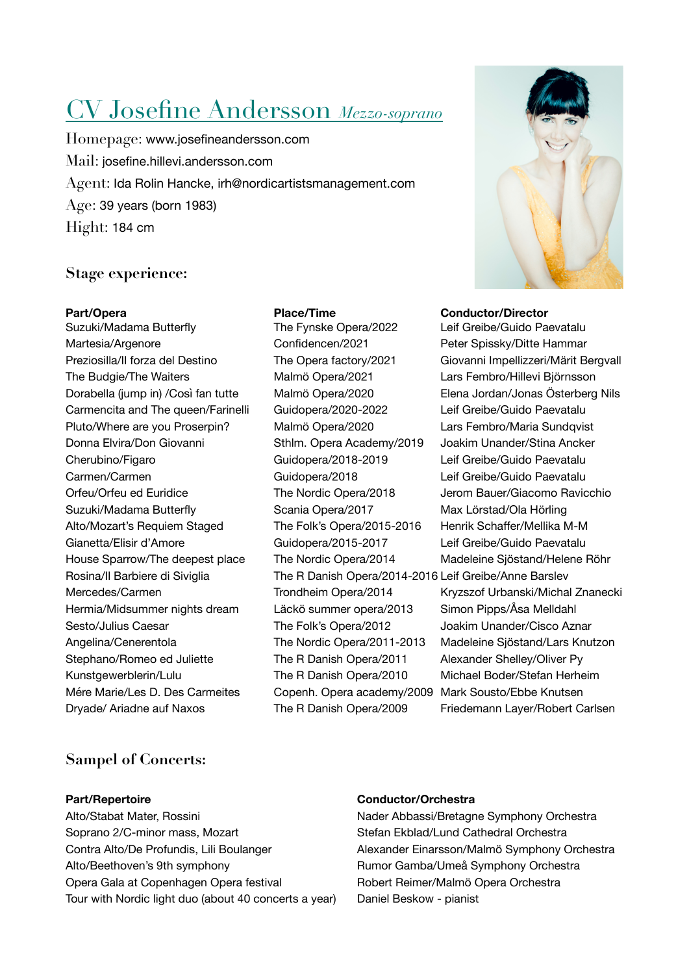# CV Josefine Andersson *Mezzo-soprano*

Homepage: [www.josefineandersson.com](http://www.josefineandersson.com) Mail: josefine.hillevi.andersson.com Agent: Ida Rolin Hancke, irh@nordicartistsmanagement.com Age: 39 years (born 1983) Hight: 184 cm

## **Stage experience:**

Suzuki/Madama Butterfly The Fynske Opera/2022 Leif Greibe/Guido Paevatalu Martesia/Argenore *Confidencen/2021* Peter Spissky/Ditte Hammar Preziosilla/Il forza del Destino The Opera factory/2021 Giovanni Impellizzeri/Märit Bergvall The Budgie/The Waiters **Malmö Opera/2021** Lars Fembro/Hillevi Björnsson Dorabella (jump in) /Così fan tutte Malmö Opera/2020 Elena Jordan/Jonas Österberg Nils Carmencita and The queen/Farinelli Guidopera/2020-2022 Leif Greibe/Guido Paevatalu Pluto/Where are you Proserpin? Malmö Opera/2020 Lars Fembro/Maria Sundqvist Donna Elvira/Don Giovanni Sthlm. Opera Academy/2019 Joakim Unander/Stina Ancker Cherubino/Figaro Guidopera/2018-2019 Leif Greibe/Guido Paevatalu Carmen/Carmen **Carmen Carmen Carmen** Guidopera/2018 Leif Greibe/Guido Paevatalu Orfeu/Orfeu ed Euridice The Nordic Opera/2018 Jerom Bauer/Giacomo Ravicchio Suzuki/Madama Butterfly Scania Opera/2017 Max Lörstad/Ola Hörling Alto/Mozart's Requiem Staged The Folk's Opera/2015-2016 Henrik Schaffer/Mellika M-M Gianetta/Elisir d'Amore Guidopera/2015-2017 Leif Greibe/Guido Paevatalu House Sparrow/The deepest place The Nordic Opera/2014 Madeleine Sjöstand/Helene Röhr Rosina/II Barbiere di Siviglia The R Danish Opera/2014-2016 Leif Greibe/Anne Barslev Mercedes/Carmen Trondheim Opera/2014 Kryzszof Urbanski/Michal Znanecki Hermia/Midsummer nights dream Läckö summer opera/2013 Simon Pipps/Åsa Melldahl Sesto/Julius Caesar The Folk's Opera/2012 Joakim Unander/Cisco Aznar Angelina/Cenerentola The Nordic Opera/2011-2013 Madeleine Siöstand/Lars Knutzon Stephano/Romeo ed Juliette The R Danish Opera/2011 Alexander Shelley/Oliver Py Kunstgewerblerin/Lulu The R Danish Opera/2010 Michael Boder/Stefan Herheim Mére Marie/Les D. Des Carmeites Copenh. Opera academy/2009 Mark Sousto/Ebbe Knutsen Dryade/ Ariadne auf Naxos **The R Danish Opera/2009** Friedemann Layer/Robert Carlsen



### Part/Opera **Place/Time Conductor/Director**

# **Sampel of Concerts:**

Alto/Stabat Mater, Rossini **National Stabat Mater, Rossini Nader Abbassi/Bretagne Symphony Orchestra** Soprano 2/C-minor mass, Mozart **Branch Stefan Ekblad/Lund Cathedral Orchestra** Contra Alto/De Profundis, Lili Boulanger **Network Alexander Einarsson/Malmö Symphony Orchestra** Alto/Beethoven's 9th symphony **Burnor Gamba/Umeå Symphony Orchestra** Opera Gala at Copenhagen Opera festival Robert Reimer/Malmö Opera Orchestra Tour with Nordic light duo (about 40 concerts a year) Daniel Beskow - pianist

## **Part/Repertoire Conductor/Orchestra**